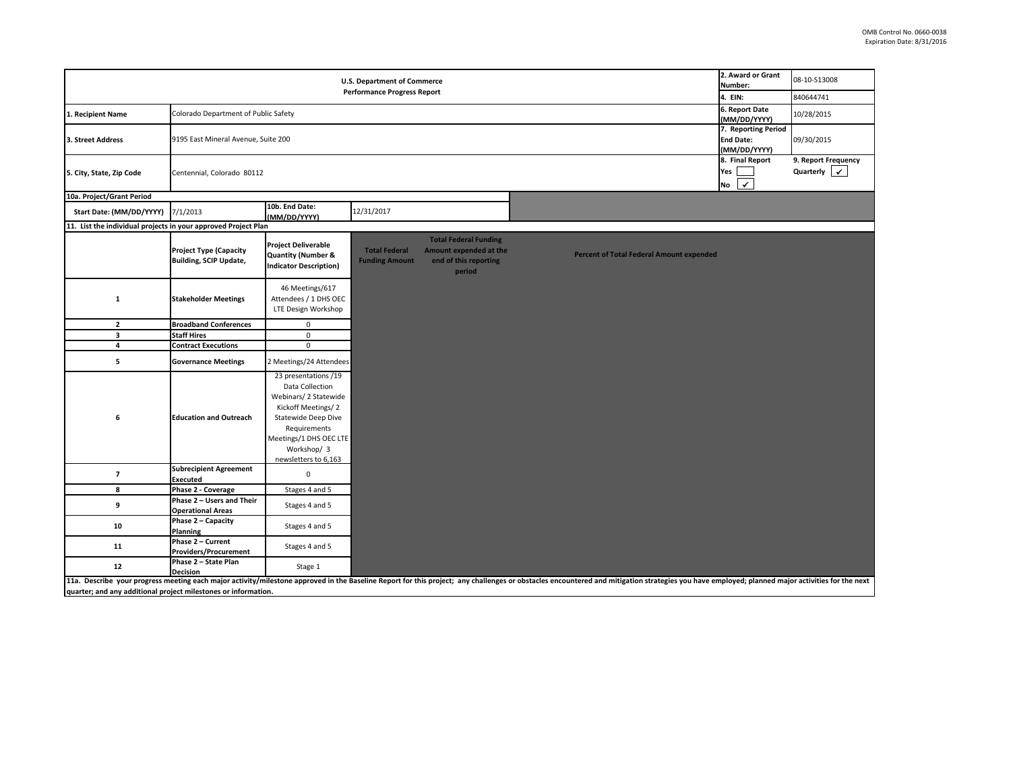| U.S. Department of Commerce<br><b>Performance Progress Report</b> |                                                                |                                                                                                                                                                                                |                                               |                                                                                           |                                                                                                                                                                                                                                |                                                 | 2. Award or Grant<br>Number:<br>4. EIN:                 | 08-10-S13008<br>840644741                           |
|-------------------------------------------------------------------|----------------------------------------------------------------|------------------------------------------------------------------------------------------------------------------------------------------------------------------------------------------------|-----------------------------------------------|-------------------------------------------------------------------------------------------|--------------------------------------------------------------------------------------------------------------------------------------------------------------------------------------------------------------------------------|-------------------------------------------------|---------------------------------------------------------|-----------------------------------------------------|
| 1. Recipient Name                                                 | Colorado Department of Public Safety                           |                                                                                                                                                                                                |                                               |                                                                                           |                                                                                                                                                                                                                                |                                                 | 6. Report Date<br>(MM/DD/YYYY)                          | 10/28/2015                                          |
| 3. Street Address                                                 | 9195 East Mineral Avenue, Suite 200                            |                                                                                                                                                                                                |                                               |                                                                                           |                                                                                                                                                                                                                                |                                                 | 7. Reporting Period<br><b>End Date:</b><br>(MM/DD/YYYY) | 09/30/2015                                          |
| 5. City, State, Zip Code                                          | Centennial, Colorado 80112                                     |                                                                                                                                                                                                |                                               |                                                                                           |                                                                                                                                                                                                                                |                                                 |                                                         | 9. Report Frequency<br>Quarterly $\vert \checkmark$ |
| 10a. Project/Grant Period                                         |                                                                |                                                                                                                                                                                                |                                               |                                                                                           |                                                                                                                                                                                                                                |                                                 |                                                         |                                                     |
| Start Date: (MM/DD/YYYY)                                          | 7/1/2013                                                       | 10b. End Date:<br>(MM/DD/YYYY)                                                                                                                                                                 | 12/31/2017                                    |                                                                                           |                                                                                                                                                                                                                                |                                                 |                                                         |                                                     |
| 11. List the individual projects in your approved Project Plan    |                                                                |                                                                                                                                                                                                |                                               |                                                                                           |                                                                                                                                                                                                                                |                                                 |                                                         |                                                     |
|                                                                   | <b>Project Type (Capacity</b><br><b>Building, SCIP Update,</b> | <b>Project Deliverable</b><br><b>Quantity (Number &amp;</b><br><b>Indicator Description)</b>                                                                                                   | <b>Total Federal</b><br><b>Funding Amount</b> | <b>Total Federal Funding</b><br>Amount expended at the<br>end of this reporting<br>period |                                                                                                                                                                                                                                | <b>Percent of Total Federal Amount expended</b> |                                                         |                                                     |
| $\mathbf{1}$                                                      | <b>Stakeholder Meetings</b>                                    | 46 Meetings/617<br>Attendees / 1 DHS OEC<br>LTE Design Workshop                                                                                                                                |                                               |                                                                                           |                                                                                                                                                                                                                                |                                                 |                                                         |                                                     |
| $\mathbf{2}$                                                      | <b>Broadband Conferences</b>                                   | $\mathbf 0$                                                                                                                                                                                    |                                               |                                                                                           |                                                                                                                                                                                                                                |                                                 |                                                         |                                                     |
| 3                                                                 | <b>Staff Hires</b>                                             | $\mathbf 0$                                                                                                                                                                                    |                                               |                                                                                           |                                                                                                                                                                                                                                |                                                 |                                                         |                                                     |
| 4                                                                 | <b>Contract Executions</b>                                     | $\mathbf 0$                                                                                                                                                                                    |                                               |                                                                                           |                                                                                                                                                                                                                                |                                                 |                                                         |                                                     |
| 5                                                                 | <b>Governance Meetings</b>                                     | 2 Meetings/24 Attendees                                                                                                                                                                        |                                               |                                                                                           |                                                                                                                                                                                                                                |                                                 |                                                         |                                                     |
| 6                                                                 | <b>Education and Outreach</b>                                  | 23 presentations /19<br>Data Collection<br>Webinars/ 2 Statewide<br>Kickoff Meetings/2<br>Statewide Deep Dive<br>Requirements<br>Meetings/1 DHS OEC LTE<br>Workshop/ 3<br>newsletters to 6,163 |                                               |                                                                                           |                                                                                                                                                                                                                                |                                                 |                                                         |                                                     |
| $\overline{\phantom{a}}$                                          | <b>Subrecipient Agreement</b><br>Executed                      | $\mathbf 0$                                                                                                                                                                                    |                                               |                                                                                           |                                                                                                                                                                                                                                |                                                 |                                                         |                                                     |
| 8                                                                 | Phase 2 - Coverage                                             | Stages 4 and 5                                                                                                                                                                                 |                                               |                                                                                           |                                                                                                                                                                                                                                |                                                 |                                                         |                                                     |
| 9                                                                 | Phase 2 - Users and Their<br><b>Operational Areas</b>          | Stages 4 and 5                                                                                                                                                                                 |                                               |                                                                                           |                                                                                                                                                                                                                                |                                                 |                                                         |                                                     |
| 10                                                                | Phase 2 - Capacity<br>Planning                                 | Stages 4 and 5                                                                                                                                                                                 |                                               |                                                                                           |                                                                                                                                                                                                                                |                                                 |                                                         |                                                     |
| 11                                                                | Phase 2 - Current<br><b>Providers/Procurement</b>              | Stages 4 and 5                                                                                                                                                                                 |                                               |                                                                                           |                                                                                                                                                                                                                                |                                                 |                                                         |                                                     |
| 12                                                                | Phase 2 - State Plan<br><b>Decision</b>                        | Stage 1                                                                                                                                                                                        |                                               |                                                                                           |                                                                                                                                                                                                                                |                                                 |                                                         |                                                     |
| quarter; and any additional project milestones or information.    |                                                                |                                                                                                                                                                                                |                                               |                                                                                           | 11a. Describe your progress meeting each major activity/milestone approved in the Baseline Report for this project; any challenges or obstacles encountered and mitigation strategies you have employed; planned major activit |                                                 |                                                         |                                                     |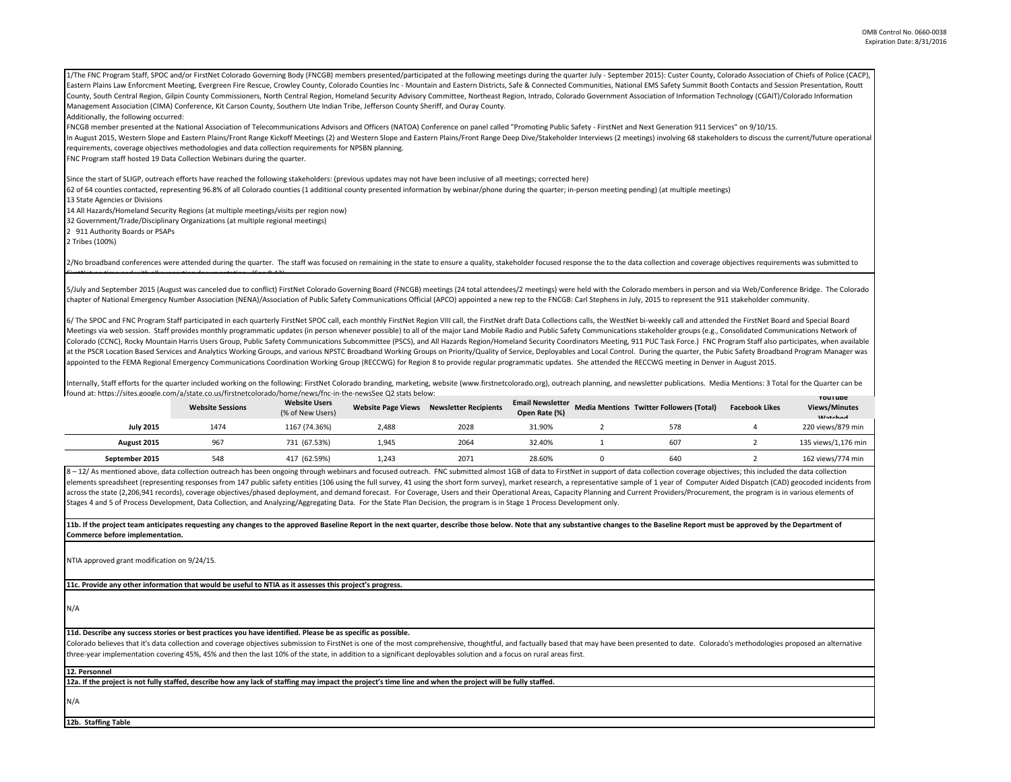| 1/The FNC Program Staff, SPOC and/or FirstNet Colorado Governing Body (FNCGB) members presented/participated at the following meetings during the quarter July - September 2015): Custer County, Colorado Association of Chief |
|--------------------------------------------------------------------------------------------------------------------------------------------------------------------------------------------------------------------------------|
| Eastern Plains Law Enforcment Meeting, Evergreen Fire Rescue, Crowley County, Colorado Counties Inc - Mountain and Eastern Districts, Safe & Connected Communities, National EMS Safety Summit Booth Contacts and Session Pres |
| County, South Central Region, Gilpin County Commissioners, North Central Region, Homeland Security Advisory Committee, Northeast Region, Intrado, Colorado Government Association of Information Technology (CGAIT)/Colorado I |
| Management Association (CIMA) Conference, Kit Carson County, Southern Ute Indian Tribe, Jefferson County Sheriff, and Ouray County.                                                                                            |
| Additionally, the following occurred:                                                                                                                                                                                          |
| FNCGB member presented at the National Association of Telecommunications Advisors and Officers (NATOA) Conference on panel called "Promoting Public Safety - FirstNet and Next Generation 911 Services" on 9/10/15.            |
| In August 2015, Western Slope and Eastern Plains/Front Range Kickoff Meetings (2) and Western Slope and Eastern Plains/Front Range Deep Dive/Stakeholder Interviews (2 meetings) involving 68 stakeholders to discuss the curr |
| requirements, coverage objectives methodologies and data collection requirements for NPSBN planning.                                                                                                                           |
| FNC Program staff hosted 19 Data Collection Webinars during the quarter.                                                                                                                                                       |
| Since the start of SLIGP, outreach efforts have reached the following stakeholders: (previous updates may not have been inclusive of all meetings; corrected here)                                                             |
| 62 of 64 counties contacted, representing 96.8% of all Colorado counties (1 additional county presented information by webinar/phone during the quarter; in-person meeting pending) (at multiple meetings)                     |
| 13 State Agencies or Divisions                                                                                                                                                                                                 |
| 14 All Hazards/Homeland Security Regions (at multiple meetings/visits per region now)                                                                                                                                          |
| 32 Government/Trade/Disciplinary Organizations (at multiple regional meetings)                                                                                                                                                 |
| 2 911 Authority Boards or PSAPs                                                                                                                                                                                                |
| 2 Tribes (100%)                                                                                                                                                                                                                |

2/No broadband conferences were attended during the quarter. The staff was focused on remaining in the state to ensure a quality, stakeholder focused response the to the data collection and coverage objectives requirements FirstNet on time and with all supporting documentation (See 8 12)

5/July and September 2015 (August was canceled due to conflict) FirstNet Colorado Governing Board (FNCGB) meetings (24 total attendees/2 meetings) were held with the Colorado members in person and via Web/Conference Bridge chapter of National Emergency Number Association (NENA)/Association of Public Safety Communications Official (APCO) appointed a new rep to the FNCGB: Carl Stephens in July, 2015 to represent the 911 stakeholder community.

6/ The SPOC and FNC Program Staff participated in each quarterly FirstNet SPOC call, each monthly FirstNet Region VIII call, the FirstNet draft Data Collections calls, the WestNet bi-weekly call and attended the FirstNet B Meetings via web session. Staff provides monthly programmatic updates (in person whenever possible) to all of the major Land Mobile Radio and Public Safety Communications stakeholder groups (e.g., Consolidated Communicatio Colorado (CCNC), Rocky Mountain Harris Users Group, Public Safety Communications Subcommittee (PSCS), and All Hazards Region/Homeland Security Coordinators Meeting, 911 PUC Task Force.) FNC Program Staff also participates, at the PSCR Location Based Services and Analytics Working Groups, and various NPSTC Broadband Working Groups on Priority/Quality of Service, Deployables and Local Control. During the quarter, the Pubic Safety Broadband Pro appointed to the FEMA Regional Emergency Communications Coordination Working Group (RECCWG) for Region 8 to provide regular programmatic updates. She attended the RECCWG meeting in Denver in August 2015.

Internally, Staff efforts for the quarter included working on the following: FirstNet Colorado branding, marketing, website (www.firstnetcolorado.org), outreach planning, and newsletter publications, Media Mentions: 3 Tota found at: https://sites.google.com/a/state.co.us/firstnetcolorado/home/news/fnc-in-the-newsSee Q2 stats below:

| TOUTIU UL TILLDS.//SILES.ROORIE.COM/U/U/SIUE.CO.US/MISLIELCOIOIUU/HOME/HEWS/MIC-MI-LIIE-HEWSSEE QZ SLUGS DEIOW. | <b>Website Sessions</b> | <b>Website Users</b><br>(% of New Users) | <b>Website Page Views</b> | <b>Newsletter Recipients</b> | <b>Email Newsletter</b><br>Open Rate (%) | <b>Media Mentions Twitter Followers (Total)</b> | <b>Facebook Likes</b> | <b>YOUTUDE</b><br><b>Views/Minutes</b><br><b>Matched</b> |
|-----------------------------------------------------------------------------------------------------------------|-------------------------|------------------------------------------|---------------------------|------------------------------|------------------------------------------|-------------------------------------------------|-----------------------|----------------------------------------------------------|
| <b>July 2015</b>                                                                                                | 1474                    | 1167 (74.36%)                            | 2,488                     | 2028                         | 31.90%                                   | 578                                             |                       | 220 views/879 min                                        |
| August 2015                                                                                                     | 967                     | 731 (67.53%)                             | 1,945                     | 2064                         | 32.40%                                   | 607                                             |                       | 135 views/1.176 min                                      |
| September 2015                                                                                                  | 548                     | 417 (62.59%)                             | 1,243                     | 2071                         | 28.60%                                   | 64C                                             |                       | 162 views/774 min                                        |

8 - 12/ As mentioned above, data collection outreach has been ongoing through webinars and focused outreach. FNC submitted almost 1GB of data to FirstNet in support of data collection coverage objectives; this included the elements spreadsheet (representing responses from 147 public safety entities (106 using the full survey, 41 using the short form survey), market research, a representative sample of 1 year of Computer Aided Dispatch (CAD) across the state (2,206,941 records), coverage objectives/phased deployment, and demand forecast. For Coverage, Users and their Operational Areas, Capacity Planning and Current Providers/Procurement, the program is in vari Stages 4 and 5 of Process Development, Data Collection, and Analyzing/Aggregating Data. For the State Plan Decision, the program is in Stage 1 Process Development only.

11b. If the project team anticipates requesting any changes to the approved Baseline Report in the next quarter, describe those below. Note that any substantive changes to the Baseline Report must be approved by the Depart **Commerce before implementation.** 

NTIA approved grant modification on 9/24/15.

**11c. Provide any other information that would be useful to NTIA as it assesses this project's progress.** 

N/A

## **11d. Describe any success stories or best practices you have identified. Please be as specific as possible.**

Colorado believes that it's data collection and coverage objectives submission to FirstNet is one of the most comprehensive, thoughtful, and factually based that may have been presented to date. Colorado's methodologies pr three-year implementation covering 45%, 45% and then the last 10% of the state, in addition to a significant deployables solution and a focus on rural areas first.

**12. Personnel** 

**12a. If the project is not fully staffed, describe how any lack of staffing may impact the project's time line and when the project will be fully staffed.**

N/A

**12b. Staffing Table**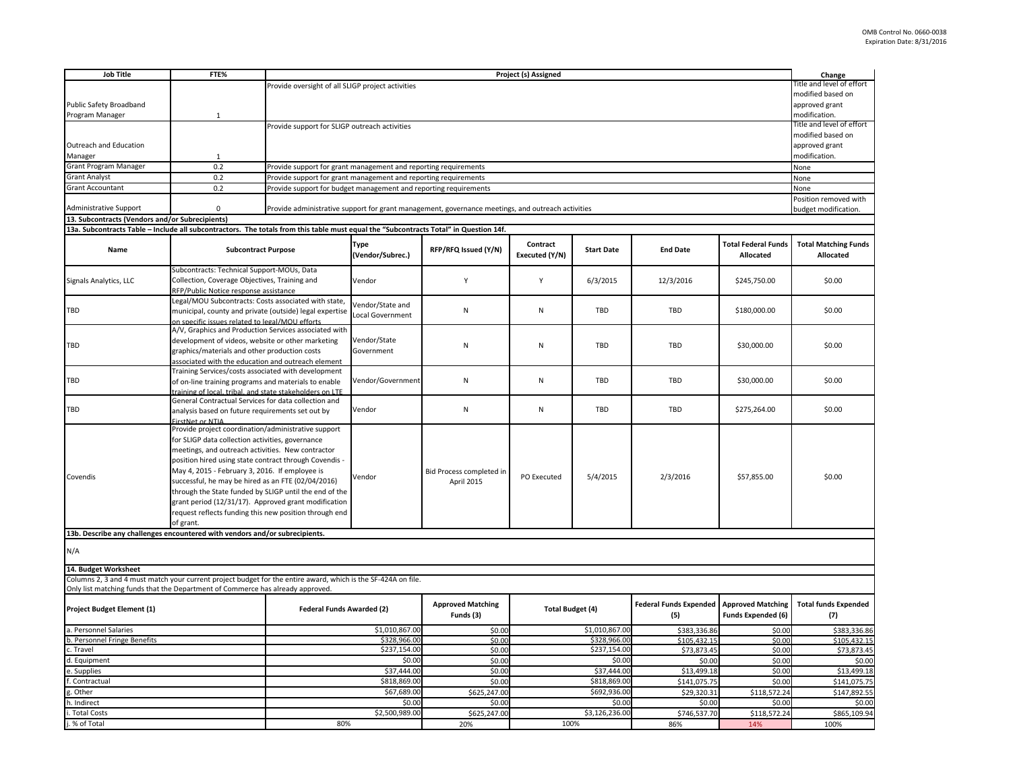| <b>Job Title</b>                                                                                                                      | FTE%                                                                                                                                                         | Project (s) Assigned                                                                                                                                                                                                     |                            |                                                                                                   |                              |                            |                                                        |                                         | Change                                   |  |  |
|---------------------------------------------------------------------------------------------------------------------------------------|--------------------------------------------------------------------------------------------------------------------------------------------------------------|--------------------------------------------------------------------------------------------------------------------------------------------------------------------------------------------------------------------------|----------------------------|---------------------------------------------------------------------------------------------------|------------------------------|----------------------------|--------------------------------------------------------|-----------------------------------------|------------------------------------------|--|--|
|                                                                                                                                       |                                                                                                                                                              | Provide oversight of all SLIGP project activities                                                                                                                                                                        |                            |                                                                                                   |                              |                            |                                                        | Title and level of effort               |                                          |  |  |
|                                                                                                                                       |                                                                                                                                                              |                                                                                                                                                                                                                          |                            |                                                                                                   |                              |                            |                                                        | modified based on                       |                                          |  |  |
| Public Safety Broadband<br>Program Manager                                                                                            | $\mathbf{1}$                                                                                                                                                 |                                                                                                                                                                                                                          |                            |                                                                                                   |                              |                            |                                                        |                                         | approved grant<br>modification.          |  |  |
|                                                                                                                                       |                                                                                                                                                              | Provide support for SLIGP outreach activities                                                                                                                                                                            |                            |                                                                                                   |                              |                            |                                                        |                                         | Title and level of effort                |  |  |
|                                                                                                                                       |                                                                                                                                                              |                                                                                                                                                                                                                          |                            |                                                                                                   |                              |                            |                                                        |                                         | modified based on                        |  |  |
| Outreach and Education                                                                                                                |                                                                                                                                                              |                                                                                                                                                                                                                          | approved grant             |                                                                                                   |                              |                            |                                                        |                                         |                                          |  |  |
| Manager                                                                                                                               | $\mathbf{1}$                                                                                                                                                 |                                                                                                                                                                                                                          |                            |                                                                                                   |                              |                            |                                                        |                                         |                                          |  |  |
| Grant Program Manager                                                                                                                 | 0.2                                                                                                                                                          | Provide support for grant management and reporting requirements                                                                                                                                                          |                            |                                                                                                   |                              |                            |                                                        |                                         | None                                     |  |  |
| <b>Grant Analyst</b>                                                                                                                  | 0.2                                                                                                                                                          | Provide support for grant management and reporting requirements                                                                                                                                                          |                            |                                                                                                   |                              |                            |                                                        |                                         | None                                     |  |  |
| <b>Grant Accountant</b>                                                                                                               | 0.2                                                                                                                                                          | Provide support for budget management and reporting requirements                                                                                                                                                         |                            |                                                                                                   |                              |                            |                                                        |                                         | None                                     |  |  |
|                                                                                                                                       |                                                                                                                                                              |                                                                                                                                                                                                                          |                            | Position removed with<br>budget modification.                                                     |                              |                            |                                                        |                                         |                                          |  |  |
| <b>Administrative Support</b><br>13. Subcontracts (Vendors and/or Subrecipients)                                                      | $\mathbf 0$                                                                                                                                                  |                                                                                                                                                                                                                          |                            | Provide administrative support for grant management, governance meetings, and outreach activities |                              |                            |                                                        |                                         |                                          |  |  |
| 13a. Subcontracts Table - Include all subcontractors. The totals from this table must equal the "Subcontracts Total" in Question 14f. |                                                                                                                                                              |                                                                                                                                                                                                                          |                            |                                                                                                   |                              |                            |                                                        |                                         |                                          |  |  |
|                                                                                                                                       |                                                                                                                                                              |                                                                                                                                                                                                                          |                            |                                                                                                   |                              |                            |                                                        |                                         |                                          |  |  |
| Name                                                                                                                                  | <b>Subcontract Purpose</b>                                                                                                                                   |                                                                                                                                                                                                                          | Type<br>(Vendor/Subrec.)   | RFP/RFQ Issued (Y/N)                                                                              | Contract<br>Executed (Y/N)   | <b>Start Date</b>          | <b>End Date</b>                                        | <b>Total Federal Funds</b><br>Allocated | <b>Total Matching Funds</b><br>Allocated |  |  |
|                                                                                                                                       | Subcontracts: Technical Support-MOUs, Data                                                                                                                   |                                                                                                                                                                                                                          | Vendor                     |                                                                                                   |                              |                            |                                                        |                                         |                                          |  |  |
| Signals Analytics, LLC                                                                                                                |                                                                                                                                                              | Collection, Coverage Objectives, Training and                                                                                                                                                                            |                            | Υ                                                                                                 | Y                            | 6/3/2015                   | 12/3/2016                                              | \$245,750.00                            | \$0.00                                   |  |  |
|                                                                                                                                       | RFP/Public Notice response assistance<br>Legal/MOU Subcontracts: Costs associated with state,                                                                |                                                                                                                                                                                                                          |                            |                                                                                                   |                              |                            |                                                        |                                         |                                          |  |  |
| TBD                                                                                                                                   | municipal, county and private (outside) legal expertise                                                                                                      |                                                                                                                                                                                                                          | Vendor/State and           | ${\sf N}$                                                                                         | N                            | TBD                        | TBD                                                    | \$180,000.00                            | \$0.00                                   |  |  |
|                                                                                                                                       | on specific issues related to legal/MOU efforts                                                                                                              |                                                                                                                                                                                                                          | Local Government           |                                                                                                   |                              |                            |                                                        |                                         |                                          |  |  |
|                                                                                                                                       | A/V, Graphics and Production Services associated with                                                                                                        |                                                                                                                                                                                                                          |                            | N                                                                                                 | N                            | TBD                        | TBD                                                    | \$30,000.00                             | \$0.00                                   |  |  |
| TBD                                                                                                                                   | development of videos, website or other marketing                                                                                                            |                                                                                                                                                                                                                          | Vendor/State<br>Government |                                                                                                   |                              |                            |                                                        |                                         |                                          |  |  |
|                                                                                                                                       |                                                                                                                                                              | graphics/materials and other production costs                                                                                                                                                                            |                            |                                                                                                   |                              |                            |                                                        |                                         |                                          |  |  |
|                                                                                                                                       | associated with the education and outreach element                                                                                                           |                                                                                                                                                                                                                          |                            |                                                                                                   |                              |                            |                                                        |                                         |                                          |  |  |
| TBD                                                                                                                                   | Training Services/costs associated with development<br>of on-line training programs and materials to enable                                                  |                                                                                                                                                                                                                          | Vendor/Government          | ${\sf N}$                                                                                         | N                            | TBD                        | TBD                                                    | \$30,000.00                             | \$0.00                                   |  |  |
|                                                                                                                                       |                                                                                                                                                              | training of local, tribal, and state stakeholders on LTE                                                                                                                                                                 |                            |                                                                                                   |                              |                            |                                                        |                                         |                                          |  |  |
|                                                                                                                                       | General Contractual Services for data collection and                                                                                                         |                                                                                                                                                                                                                          |                            |                                                                                                   |                              |                            |                                                        |                                         |                                          |  |  |
| TBD                                                                                                                                   | analysis based on future requirements set out by                                                                                                             |                                                                                                                                                                                                                          | Vendor                     | N                                                                                                 | $\mathsf{N}$                 | <b>TBD</b>                 | <b>TBD</b>                                             | \$275,264.00                            | \$0.00                                   |  |  |
| irstNet or NTIA                                                                                                                       |                                                                                                                                                              |                                                                                                                                                                                                                          |                            |                                                                                                   | PO Executed                  | 5/4/2015                   | 2/3/2016                                               | \$57,855.00                             | \$0.00                                   |  |  |
|                                                                                                                                       | Provide project coordination/administrative support<br>for SLIGP data collection activities, governance<br>meetings, and outreach activities. New contractor |                                                                                                                                                                                                                          |                            |                                                                                                   |                              |                            |                                                        |                                         |                                          |  |  |
|                                                                                                                                       |                                                                                                                                                              |                                                                                                                                                                                                                          |                            |                                                                                                   |                              |                            |                                                        |                                         |                                          |  |  |
|                                                                                                                                       |                                                                                                                                                              | position hired using state contract through Covendis -<br>May 4, 2015 - February 3, 2016. If employee is<br>successful, he may be hired as an FTE (02/04/2016)<br>through the State funded by SLIGP until the end of the |                            |                                                                                                   |                              |                            |                                                        |                                         |                                          |  |  |
|                                                                                                                                       |                                                                                                                                                              |                                                                                                                                                                                                                          |                            | Bid Process completed in<br>April 2015                                                            |                              |                            |                                                        |                                         |                                          |  |  |
| Covendis                                                                                                                              |                                                                                                                                                              |                                                                                                                                                                                                                          |                            |                                                                                                   |                              |                            |                                                        |                                         |                                          |  |  |
|                                                                                                                                       |                                                                                                                                                              |                                                                                                                                                                                                                          |                            |                                                                                                   |                              |                            |                                                        |                                         |                                          |  |  |
|                                                                                                                                       | grant period (12/31/17). Approved grant modification                                                                                                         |                                                                                                                                                                                                                          |                            |                                                                                                   |                              |                            |                                                        |                                         |                                          |  |  |
|                                                                                                                                       |                                                                                                                                                              | request reflects funding this new position through end                                                                                                                                                                   |                            |                                                                                                   |                              |                            |                                                        |                                         |                                          |  |  |
|                                                                                                                                       | of grant.                                                                                                                                                    |                                                                                                                                                                                                                          |                            |                                                                                                   |                              |                            |                                                        |                                         |                                          |  |  |
| 13b. Describe any challenges encountered with vendors and/or subrecipients.                                                           |                                                                                                                                                              |                                                                                                                                                                                                                          |                            |                                                                                                   |                              |                            |                                                        |                                         |                                          |  |  |
| N/A                                                                                                                                   |                                                                                                                                                              |                                                                                                                                                                                                                          |                            |                                                                                                   |                              |                            |                                                        |                                         |                                          |  |  |
| 14. Budget Worksheet                                                                                                                  |                                                                                                                                                              |                                                                                                                                                                                                                          |                            |                                                                                                   |                              |                            |                                                        |                                         |                                          |  |  |
| Columns 2, 3 and 4 must match your current project budget for the entire award, which is the SF-424A on file.                         |                                                                                                                                                              |                                                                                                                                                                                                                          |                            |                                                                                                   |                              |                            |                                                        |                                         |                                          |  |  |
| Only list matching funds that the Department of Commerce has already approved.                                                        |                                                                                                                                                              |                                                                                                                                                                                                                          |                            |                                                                                                   |                              |                            |                                                        |                                         |                                          |  |  |
| Project Budget Element (1)                                                                                                            |                                                                                                                                                              | Federal Funds Awarded (2)                                                                                                                                                                                                |                            | <b>Approved Matching</b><br>Funds (3)                                                             | <b>Total Budget (4)</b>      |                            | <b>Federal Funds Expended Approved Matching</b><br>(5) | <b>Funds Expended (6)</b>               | <b>Total funds Expended</b><br>(7)       |  |  |
| a. Personnel Salaries                                                                                                                 |                                                                                                                                                              | \$1,010,867.00                                                                                                                                                                                                           | \$0.00                     |                                                                                                   | \$1,010,867.00               | \$383,336.86               | \$0.00                                                 | \$383,336.86                            |                                          |  |  |
| b. Personnel Fringe Benefits                                                                                                          |                                                                                                                                                              | \$328,966.00                                                                                                                                                                                                             | \$0.00                     |                                                                                                   | \$328,966.00                 | \$105,432.1                | \$0.00                                                 | \$105,432.15                            |                                          |  |  |
| . Travel                                                                                                                              |                                                                                                                                                              | \$237,154.00                                                                                                                                                                                                             | \$0.00                     |                                                                                                   | \$237,154.00                 | \$73,873.45                | \$0.00                                                 | \$73,873.45                             |                                          |  |  |
| d. Equipment                                                                                                                          |                                                                                                                                                              | \$0.00                                                                                                                                                                                                                   | \$0.00                     |                                                                                                   | \$0.00                       | \$0.00                     | \$0.00                                                 | \$0.00                                  |                                          |  |  |
| . Supplies                                                                                                                            |                                                                                                                                                              | \$37,444.00                                                                                                                                                                                                              | \$0.00                     |                                                                                                   | \$37,444.00                  | \$13,499.18                | \$0.00                                                 | \$13,499.18                             |                                          |  |  |
| Contractual                                                                                                                           |                                                                                                                                                              | \$818,869.00<br>\$67,689.00                                                                                                                                                                                              | \$0.00<br>\$625,247.00     |                                                                                                   | \$818,869.00<br>\$692,936.00 | \$141,075.75<br>\$29,320.3 | \$0.00<br>\$118,572.24                                 | \$141,075.75<br>\$147,892.55            |                                          |  |  |
| Other<br>. Indirect                                                                                                                   |                                                                                                                                                              |                                                                                                                                                                                                                          | \$0.00                     | \$0.00                                                                                            |                              | \$0.00                     | \$0.00                                                 | \$0.00                                  | \$0.00                                   |  |  |
| i. Total Costs                                                                                                                        |                                                                                                                                                              |                                                                                                                                                                                                                          | \$2,500,989.00             | \$625,247.00                                                                                      |                              | \$3,126,236.00             | \$746,537.70                                           | \$118,572.24                            | \$865,109.94                             |  |  |
| j. % of Total                                                                                                                         |                                                                                                                                                              | 80%                                                                                                                                                                                                                      |                            | 20%                                                                                               | 100%                         |                            | 86%                                                    | 14%                                     | 100%                                     |  |  |